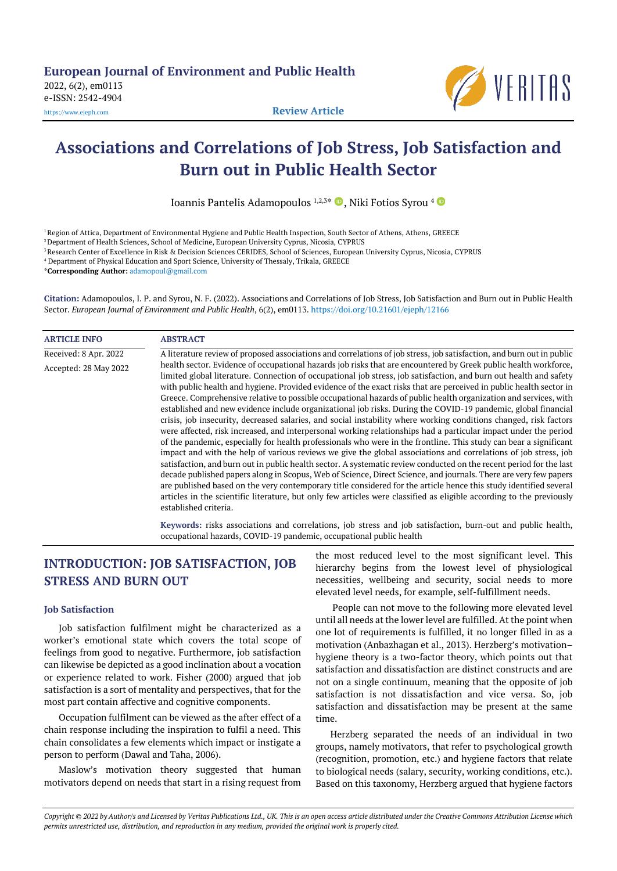

# **Associations and Correlations of Job Stress, Job Satisfaction and Burn out in Public Health Sector**

Ioannis Pantelis Adamopoulos <sup>1,2,3\*</sup> <sup>D</sup>, Niki Fotios Syrou <sup>4</sup>

<sup>1</sup> Region of Attica, Department of Environmental Hygiene and Public Health Inspection, South Sector of Athens, Athens, GREECE

<sup>2</sup> Department of Health Sciences, School of Medicine, European University Cyprus, Nicosia, CYPRUS

<sup>3</sup>Research Center of Excellence in Risk & Decision Sciences CERIDES, School of Sciences, European University Cyprus, Nicosia, CYPRUS

<sup>4</sup> Department of Physical Education and Sport Science, University of Thessaly, Trikala, GREECE

\***Corresponding Author:** [adamopoul@gmail.com](mailto:adamopoul@gmail.com)

**Citation:** Adamopoulos, I. P. and Syrou, N. F. (2022). Associations and Correlations of Job Stress, Job Satisfaction and Burn out in Public Health Sector. *European Journal of Environment and Public Health*, 6(2), em0113. <https://doi.org/10.21601/ejeph/12166>

| <b>ARTICLE INFO</b>   | <b>ABSTRACT</b>                                                                                                                                                                                                                                                                                                                                                                                                                                                                                                                                                                                                                                                                                                                                                                                                                                                                                                                                                                                                                                                                                                                                                                                                                                                                                                                                                                                                                                                                                                                                                                                    |
|-----------------------|----------------------------------------------------------------------------------------------------------------------------------------------------------------------------------------------------------------------------------------------------------------------------------------------------------------------------------------------------------------------------------------------------------------------------------------------------------------------------------------------------------------------------------------------------------------------------------------------------------------------------------------------------------------------------------------------------------------------------------------------------------------------------------------------------------------------------------------------------------------------------------------------------------------------------------------------------------------------------------------------------------------------------------------------------------------------------------------------------------------------------------------------------------------------------------------------------------------------------------------------------------------------------------------------------------------------------------------------------------------------------------------------------------------------------------------------------------------------------------------------------------------------------------------------------------------------------------------------------|
| Received: 8 Apr. 2022 | A literature review of proposed associations and correlations of job stress, job satisfaction, and burn out in public                                                                                                                                                                                                                                                                                                                                                                                                                                                                                                                                                                                                                                                                                                                                                                                                                                                                                                                                                                                                                                                                                                                                                                                                                                                                                                                                                                                                                                                                              |
| Accepted: 28 May 2022 | health sector. Evidence of occupational hazards job risks that are encountered by Greek public health workforce,<br>limited global literature. Connection of occupational job stress, job satisfaction, and burn out health and safety<br>with public health and hygiene. Provided evidence of the exact risks that are perceived in public health sector in<br>Greece. Comprehensive relative to possible occupational hazards of public health organization and services, with<br>established and new evidence include organizational job risks. During the COVID-19 pandemic, global financial<br>crisis, job insecurity, decreased salaries, and social instability where working conditions changed, risk factors<br>were affected, risk increased, and interpersonal working relationships had a particular impact under the period<br>of the pandemic, especially for health professionals who were in the frontline. This study can bear a significant<br>impact and with the help of various reviews we give the global associations and correlations of job stress, job<br>satisfaction, and burn out in public health sector. A systematic review conducted on the recent period for the last<br>decade published papers along in Scopus, Web of Science, Direct Science, and journals. There are very few papers<br>are published based on the very contemporary title considered for the article hence this study identified several<br>articles in the scientific literature, but only few articles were classified as eligible according to the previously<br>established criteria. |
|                       | Kanyarde: ricke accociations and correlations, job stress and job satisfaction, burn out and public hoalth                                                                                                                                                                                                                                                                                                                                                                                                                                                                                                                                                                                                                                                                                                                                                                                                                                                                                                                                                                                                                                                                                                                                                                                                                                                                                                                                                                                                                                                                                         |

**Keywords:** risks associations and correlations, job stress and job satisfaction, burn-out and public health, occupational hazards, COVID-19 pandemic, occupational public health

## **INTRODUCTION: JOB SATISFACTION, JOB STRESS AND BURN OUT**

#### **Job Satisfaction**

Job satisfaction fulfilment might be characterized as a worker's emotional state which covers the total scope of feelings from good to negative. Furthermore, job satisfaction can likewise be depicted as a good inclination about a vocation or experience related to work. Fisher (2000) argued that job satisfaction is a sort of mentality and perspectives, that for the most part contain affective and cognitive components.

Occupation fulfilment can be viewed as the after effect of a chain response including the inspiration to fulfil a need. This chain consolidates a few elements which impact or instigate a person to perform (Dawal and Taha, 2006).

Maslow's motivation theory suggested that human motivators depend on needs that start in a rising request from

the most reduced level to the most significant level. This hierarchy begins from the lowest level of physiological necessities, wellbeing and security, social needs to more elevated level needs, for example, self-fulfillment needs.

People can not move to the following more elevated level until all needs at the lower level are fulfilled. At the point when one lot of requirements is fulfilled, it no longer filled in as a motivation (Anbazhagan et al., 2013). Herzberg's motivation– hygiene theory is a two-factor theory, which points out that satisfaction and dissatisfaction are distinct constructs and are not on a single continuum, meaning that the opposite of job satisfaction is not dissatisfaction and vice versa. So, job satisfaction and dissatisfaction may be present at the same time.

Herzberg separated the needs of an individual in two groups, namely motivators, that refer to psychological growth (recognition, promotion, etc.) and hygiene factors that relate to biological needs (salary, security, working conditions, etc.). Based on this taxonomy, Herzberg argued that hygiene factors

Copyright @ 2022 by Author/s and Licensed by Veritas Publications Ltd., UK. This is an open access article distributed under the Creative Commons Attribution License which permits unrestricted use, distribution, and reproduction in any medium, provided the original work is properly cited.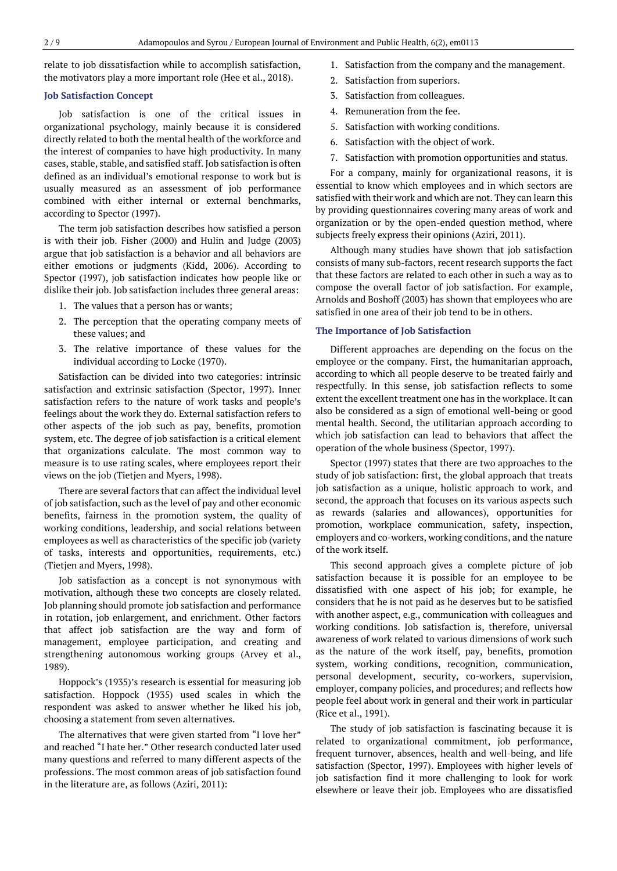relate to job dissatisfaction while to accomplish satisfaction, the motivators play a more important role (Hee et al., 2018).

#### **Job Satisfaction Concept**

Job satisfaction is one of the critical issues in organizational psychology, mainly because it is considered directly related to both the mental health of the workforce and the interest of companies to have high productivity. In many cases, stable, stable, and satisfied staff. Job satisfaction is often defined as an individual's emotional response to work but is usually measured as an assessment of job performance combined with either internal or external benchmarks, according to Spector (1997).

The term job satisfaction describes how satisfied a person is with their job. Fisher (2000) and Hulin and Judge (2003) argue that job satisfaction is a behavior and all behaviors are either emotions or judgments (Kidd, 2006). According to Spector (1997), job satisfaction indicates how people like or dislike their job. Job satisfaction includes three general areas:

- 1. The values that a person has or wants;
- 2. The perception that the operating company meets of these values; and
- 3. The relative importance of these values for the individual according to Locke (1970).

Satisfaction can be divided into two categories: intrinsic satisfaction and extrinsic satisfaction (Spector, 1997). Inner satisfaction refers to the nature of work tasks and people's feelings about the work they do. External satisfaction refers to other aspects of the job such as pay, benefits, promotion system, etc. The degree of job satisfaction is a critical element that organizations calculate. The most common way to measure is to use rating scales, where employees report their views on the job (Tietjen and Myers, 1998).

There are several factors that can affect the individual level of job satisfaction, such as the level of pay and other economic benefits, fairness in the promotion system, the quality of working conditions, leadership, and social relations between employees as well as characteristics of the specific job (variety of tasks, interests and opportunities, requirements, etc.) (Tietjen and Myers, 1998).

Job satisfaction as a concept is not synonymous with motivation, although these two concepts are closely related. Job planning should promote job satisfaction and performance in rotation, job enlargement, and enrichment. Other factors that affect job satisfaction are the way and form of management, employee participation, and creating and strengthening autonomous working groups (Arvey et al., 1989).

Hoppock's (1935)'s research is essential for measuring job satisfaction. Hoppock (1935) used scales in which the respondent was asked to answer whether he liked his job, choosing a statement from seven alternatives.

The alternatives that were given started from "I love her" and reached "I hate her." Other research conducted later used many questions and referred to many different aspects of the professions. The most common areas of job satisfaction found in the literature are, as follows (Aziri, 2011):

- 1. Satisfaction from the company and the management.
- 2. Satisfaction from superiors.
- 3. Satisfaction from colleagues.
- 4. Remuneration from the fee.
- 5. Satisfaction with working conditions.
- 6. Satisfaction with the object of work.
- 7. Satisfaction with promotion opportunities and status.

For a company, mainly for organizational reasons, it is essential to know which employees and in which sectors are satisfied with their work and which are not. They can learn this by providing questionnaires covering many areas of work and organization or by the open-ended question method, where subjects freely express their opinions (Aziri, 2011).

Although many studies have shown that job satisfaction consists of many sub-factors, recent research supports the fact that these factors are related to each other in such a way as to compose the overall factor of job satisfaction. For example, Arnolds and Boshoff (2003) has shown that employees who are satisfied in one area of their job tend to be in others.

#### **The Importance of Job Satisfaction**

Different approaches are depending on the focus on the employee or the company. First, the humanitarian approach, according to which all people deserve to be treated fairly and respectfully. In this sense, job satisfaction reflects to some extent the excellent treatment one has in the workplace. It can also be considered as a sign of emotional well-being or good mental health. Second, the utilitarian approach according to which job satisfaction can lead to behaviors that affect the operation of the whole business (Spector, 1997).

Spector (1997) states that there are two approaches to the study of job satisfaction: first, the global approach that treats job satisfaction as a unique, holistic approach to work, and second, the approach that focuses on its various aspects such as rewards (salaries and allowances), opportunities for promotion, workplace communication, safety, inspection, employers and co-workers, working conditions, and the nature of the work itself.

This second approach gives a complete picture of job satisfaction because it is possible for an employee to be dissatisfied with one aspect of his job; for example, he considers that he is not paid as he deserves but to be satisfied with another aspect, e.g., communication with colleagues and working conditions. Job satisfaction is, therefore, universal awareness of work related to various dimensions of work such as the nature of the work itself, pay, benefits, promotion system, working conditions, recognition, communication, personal development, security, co-workers, supervision, employer, company policies, and procedures; and reflects how people feel about work in general and their work in particular (Rice et al., 1991).

The study of job satisfaction is fascinating because it is related to organizational commitment, job performance, frequent turnover, absences, health and well-being, and life satisfaction (Spector, 1997). Employees with higher levels of job satisfaction find it more challenging to look for work elsewhere or leave their job. Employees who are dissatisfied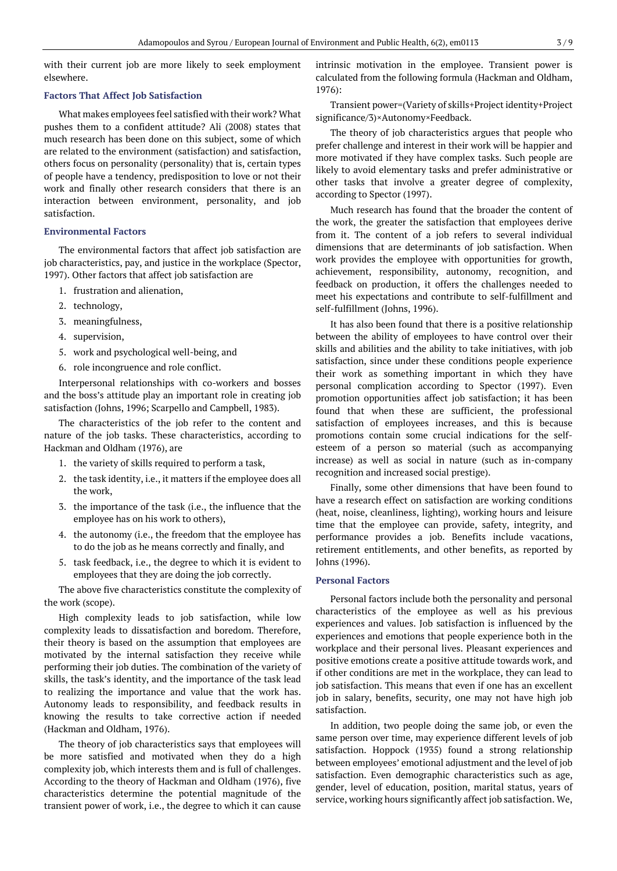with their current job are more likely to seek employment elsewhere.

#### **Factors That Affect Job Satisfaction**

What makes employees feel satisfied with their work? What pushes them to a confident attitude? Ali (2008) states that much research has been done on this subject, some of which are related to the environment (satisfaction) and satisfaction, others focus on personality (personality) that is, certain types of people have a tendency, predisposition to love or not their work and finally other research considers that there is an interaction between environment, personality, and job satisfaction.

#### **Environmental Factors**

The environmental factors that affect job satisfaction are job characteristics, pay, and justice in the workplace (Spector, 1997). Other factors that affect job satisfaction are

- 1. frustration and alienation,
- 2. technology,
- 3. meaningfulness,
- 4. supervision,
- 5. work and psychological well-being, and
- 6. role incongruence and role conflict.

Interpersonal relationships with co-workers and bosses and the boss's attitude play an important role in creating job satisfaction (Johns, 1996; Scarpello and Campbell, 1983).

The characteristics of the job refer to the content and nature of the job tasks. These characteristics, according to Hackman and Oldham (1976), are

- 1. the variety of skills required to perform a task,
- 2. the task identity, i.e., it matters if the employee does all the work,
- 3. the importance of the task (i.e., the influence that the employee has on his work to others),
- 4. the autonomy (i.e., the freedom that the employee has to do the job as he means correctly and finally, and
- 5. task feedback, i.e., the degree to which it is evident to employees that they are doing the job correctly.

The above five characteristics constitute the complexity of the work (scope).

High complexity leads to job satisfaction, while low complexity leads to dissatisfaction and boredom. Therefore, their theory is based on the assumption that employees are motivated by the internal satisfaction they receive while performing their job duties. The combination of the variety of skills, the task's identity, and the importance of the task lead to realizing the importance and value that the work has. Autonomy leads to responsibility, and feedback results in knowing the results to take corrective action if needed (Hackman and Oldham, 1976).

The theory of job characteristics says that employees will be more satisfied and motivated when they do a high complexity job, which interests them and is full of challenges. According to the theory of Hackman and Oldham (1976), five characteristics determine the potential magnitude of the transient power of work, i.e., the degree to which it can cause intrinsic motivation in the employee. Transient power is calculated from the following formula (Hackman and Oldham,  $1976$ 

Transient power=(Variety of skills+Project identity+Project significance/3)×Autonomy×Feedback.

The theory of job characteristics argues that people who prefer challenge and interest in their work will be happier and more motivated if they have complex tasks. Such people are likely to avoid elementary tasks and prefer administrative or other tasks that involve a greater degree of complexity, according to Spector (1997).

Much research has found that the broader the content of the work, the greater the satisfaction that employees derive from it. The content of a job refers to several individual dimensions that are determinants of job satisfaction. When work provides the employee with opportunities for growth, achievement, responsibility, autonomy, recognition, and feedback on production, it offers the challenges needed to meet his expectations and contribute to self-fulfillment and self-fulfillment (Johns, 1996).

It has also been found that there is a positive relationship between the ability of employees to have control over their skills and abilities and the ability to take initiatives, with job satisfaction, since under these conditions people experience their work as something important in which they have personal complication according to Spector (1997). Even promotion opportunities affect job satisfaction; it has been found that when these are sufficient, the professional satisfaction of employees increases, and this is because promotions contain some crucial indications for the selfesteem of a person so material (such as accompanying increase) as well as social in nature (such as in-company recognition and increased social prestige).

Finally, some other dimensions that have been found to have a research effect on satisfaction are working conditions (heat, noise, cleanliness, lighting), working hours and leisure time that the employee can provide, safety, integrity, and performance provides a job. Benefits include vacations, retirement entitlements, and other benefits, as reported by Johns (1996).

#### **Personal Factors**

Personal factors include both the personality and personal characteristics of the employee as well as his previous experiences and values. Job satisfaction is influenced by the experiences and emotions that people experience both in the workplace and their personal lives. Pleasant experiences and positive emotions create a positive attitude towards work, and if other conditions are met in the workplace, they can lead to job satisfaction. This means that even if one has an excellent job in salary, benefits, security, one may not have high job satisfaction.

In addition, two people doing the same job, or even the same person over time, may experience different levels of job satisfaction. Hoppock (1935) found a strong relationship between employees' emotional adjustment and the level of job satisfaction. Even demographic characteristics such as age, gender, level of education, position, marital status, years of service, working hours significantly affect job satisfaction. We,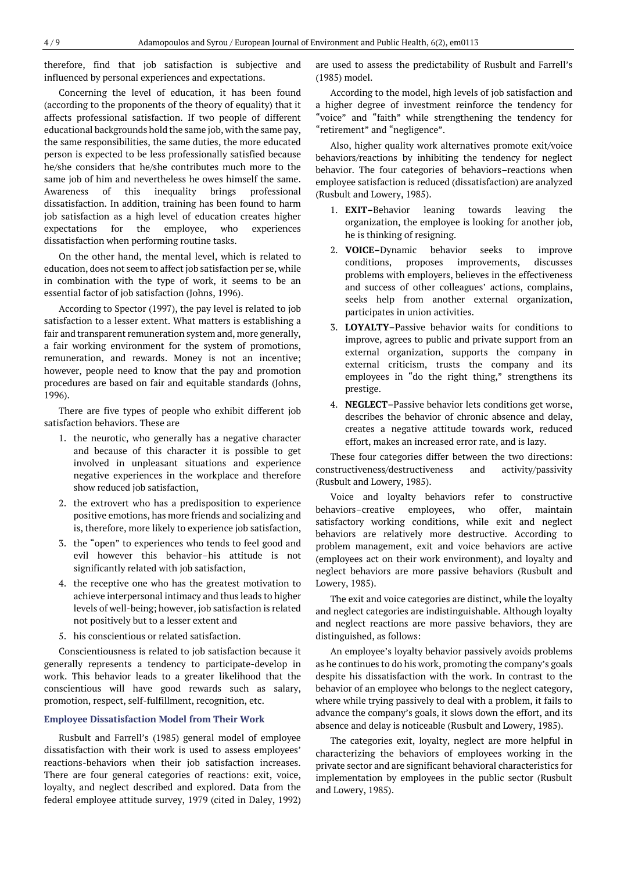therefore, find that job satisfaction is subjective and influenced by personal experiences and expectations.

Concerning the level of education, it has been found (according to the proponents of the theory of equality) that it affects professional satisfaction. If two people of different educational backgrounds hold the same job, with the same pay, the same responsibilities, the same duties, the more educated person is expected to be less professionally satisfied because he/she considers that he/she contributes much more to the same job of him and nevertheless he owes himself the same. Awareness of this inequality brings professional dissatisfaction. In addition, training has been found to harm job satisfaction as a high level of education creates higher expectations for the employee, who experiences dissatisfaction when performing routine tasks.

On the other hand, the mental level, which is related to education, does not seem to affect job satisfaction per se, while in combination with the type of work, it seems to be an essential factor of job satisfaction (Johns, 1996).

According to Spector (1997), the pay level is related to job satisfaction to a lesser extent. What matters is establishing a fair and transparent remuneration system and, more generally, a fair working environment for the system of promotions, remuneration, and rewards. Money is not an incentive; however, people need to know that the pay and promotion procedures are based on fair and equitable standards (Johns, 1996).

There are five types of people who exhibit different job satisfaction behaviors. These are

- 1. the neurotic, who generally has a negative character and because of this character it is possible to get involved in unpleasant situations and experience negative experiences in the workplace and therefore show reduced job satisfaction,
- 2. the extrovert who has a predisposition to experience positive emotions, has more friends and socializing and is, therefore, more likely to experience job satisfaction,
- 3. the "open" to experiences who tends to feel good and evil however this behavior–his attitude is not significantly related with job satisfaction,
- 4. the receptive one who has the greatest motivation to achieve interpersonal intimacy and thus leads to higher levels of well-being; however, job satisfaction is related not positively but to a lesser extent and
- 5. his conscientious or related satisfaction.

Conscientiousness is related to job satisfaction because it generally represents a tendency to participate-develop in work. This behavior leads to a greater likelihood that the conscientious will have good rewards such as salary, promotion, respect, self-fulfillment, recognition, etc.

#### **Employee Dissatisfaction Model from Their Work**

Rusbult and Farrell's (1985) general model of employee dissatisfaction with their work is used to assess employees' reactions-behaviors when their job satisfaction increases. There are four general categories of reactions: exit, voice, loyalty, and neglect described and explored. Data from the federal employee attitude survey, 1979 (cited in Daley, 1992) are used to assess the predictability of Rusbult and Farrell's (1985) model.

According to the model, high levels of job satisfaction and a higher degree of investment reinforce the tendency for "voice" and "faith" while strengthening the tendency for "retirement" and "negligence".

Also, higher quality work alternatives promote exit/voice behaviors/reactions by inhibiting the tendency for neglect behavior. The four categories of behaviors–reactions when employee satisfaction is reduced (dissatisfaction) are analyzed (Rusbult and Lowery, 1985).

- 1. **EXIT–**Behavior leaning towards leaving the organization, the employee is looking for another job, he is thinking of resigning.
- 2. **VOICE–**Dynamic behavior seeks to improve conditions, proposes improvements, discusses problems with employers, believes in the effectiveness and success of other colleagues' actions, complains, seeks help from another external organization, participates in union activities.
- 3. **LOYALTY–**Passive behavior waits for conditions to improve, agrees to public and private support from an external organization, supports the company in external criticism, trusts the company and its employees in "do the right thing," strengthens its prestige.
- 4. **NEGLECT–**Passive behavior lets conditions get worse, describes the behavior of chronic absence and delay, creates a negative attitude towards work, reduced effort, makes an increased error rate, and is lazy.

These four categories differ between the two directions: constructiveness/destructiveness and activity/passivity (Rusbult and Lowery, 1985).

Voice and loyalty behaviors refer to constructive behaviors–creative employees, who offer, maintain satisfactory working conditions, while exit and neglect behaviors are relatively more destructive. According to problem management, exit and voice behaviors are active (employees act on their work environment), and loyalty and neglect behaviors are more passive behaviors (Rusbult and Lowery, 1985).

The exit and voice categories are distinct, while the loyalty and neglect categories are indistinguishable. Although loyalty and neglect reactions are more passive behaviors, they are distinguished, as follows:

An employee's loyalty behavior passively avoids problems as he continues to do his work, promoting the company's goals despite his dissatisfaction with the work. In contrast to the behavior of an employee who belongs to the neglect category, where while trying passively to deal with a problem, it fails to advance the company's goals, it slows down the effort, and its absence and delay is noticeable (Rusbult and Lowery, 1985).

The categories exit, loyalty, neglect are more helpful in characterizing the behaviors of employees working in the private sector and are significant behavioral characteristics for implementation by employees in the public sector (Rusbult and Lowery, 1985).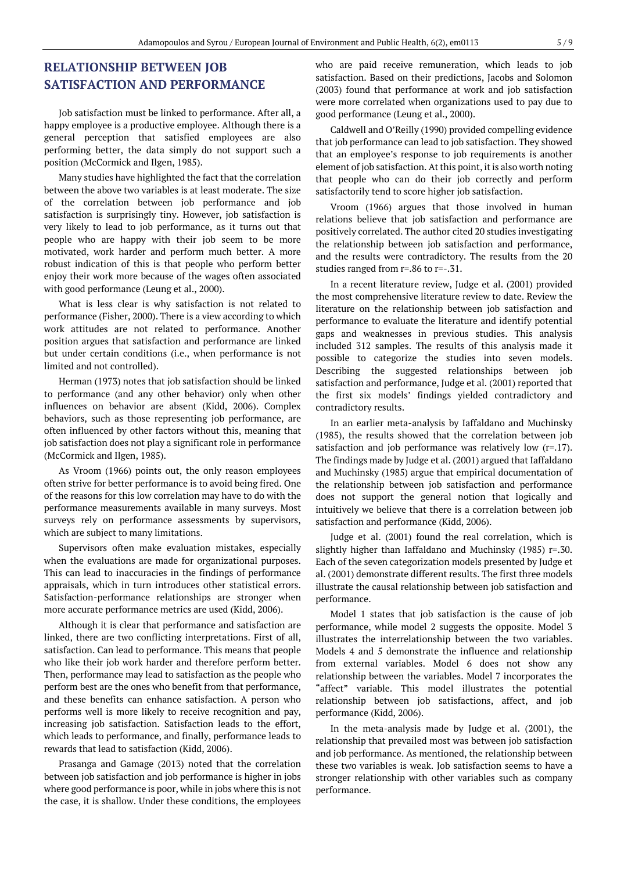## **RELATIONSHIP BETWEEN JOB SATISFACTION AND PERFORMANCE**

Job satisfaction must be linked to performance. After all, a happy employee is a productive employee. Although there is a general perception that satisfied employees are also performing better, the data simply do not support such a position (McCormick and Ilgen, 1985).

Many studies have highlighted the fact that the correlation between the above two variables is at least moderate. The size of the correlation between job performance and job satisfaction is surprisingly tiny. However, job satisfaction is very likely to lead to job performance, as it turns out that people who are happy with their job seem to be more motivated, work harder and perform much better. A more robust indication of this is that people who perform better enjoy their work more because of the wages often associated with good performance (Leung et al., 2000).

What is less clear is why satisfaction is not related to performance (Fisher, 2000). There is a view according to which work attitudes are not related to performance. Another position argues that satisfaction and performance are linked but under certain conditions (i.e., when performance is not limited and not controlled).

Herman (1973) notes that job satisfaction should be linked to performance (and any other behavior) only when other influences on behavior are absent (Kidd, 2006). Complex behaviors, such as those representing job performance, are often influenced by other factors without this, meaning that job satisfaction does not play a significant role in performance (McCormick and Ilgen, 1985).

As Vroom (1966) points out, the only reason employees often strive for better performance is to avoid being fired. One of the reasons for this low correlation may have to do with the performance measurements available in many surveys. Most surveys rely on performance assessments by supervisors, which are subject to many limitations.

Supervisors often make evaluation mistakes, especially when the evaluations are made for organizational purposes. This can lead to inaccuracies in the findings of performance appraisals, which in turn introduces other statistical errors. Satisfaction-performance relationships are stronger when more accurate performance metrics are used (Kidd, 2006).

Although it is clear that performance and satisfaction are linked, there are two conflicting interpretations. First of all, satisfaction. Can lead to performance. This means that people who like their job work harder and therefore perform better. Then, performance may lead to satisfaction as the people who perform best are the ones who benefit from that performance, and these benefits can enhance satisfaction. A person who performs well is more likely to receive recognition and pay, increasing job satisfaction. Satisfaction leads to the effort, which leads to performance, and finally, performance leads to rewards that lead to satisfaction (Kidd, 2006).

Prasanga and Gamage (2013) noted that the correlation between job satisfaction and job performance is higher in jobs where good performance is poor, while in jobs where this is not the case, it is shallow. Under these conditions, the employees who are paid receive remuneration, which leads to job satisfaction. Based on their predictions, Jacobs and Solomon (2003) found that performance at work and job satisfaction were more correlated when organizations used to pay due to good performance (Leung et al., 2000).

Caldwell and O'Reilly (1990) provided compelling evidence that job performance can lead to job satisfaction. They showed that an employee's response to job requirements is another element of job satisfaction. At this point, it is also worth noting that people who can do their job correctly and perform satisfactorily tend to score higher job satisfaction.

Vroom (1966) argues that those involved in human relations believe that job satisfaction and performance are positively correlated. The author cited 20 studies investigating the relationship between job satisfaction and performance, and the results were contradictory. The results from the 20 studies ranged from r=.86 to r=-.31.

In a recent literature review, Judge et al. (2001) provided the most comprehensive literature review to date. Review the literature on the relationship between job satisfaction and performance to evaluate the literature and identify potential gaps and weaknesses in previous studies. This analysis included 312 samples. The results of this analysis made it possible to categorize the studies into seven models. Describing the suggested relationships between job satisfaction and performance, Judge et al. (2001) reported that the first six models' findings yielded contradictory and contradictory results.

In an earlier meta-analysis by Iaffaldano and Muchinsky (1985), the results showed that the correlation between job satisfaction and job performance was relatively low  $(r=17)$ . The findings made by Judge et al. (2001) argued that Iaffaldano and Muchinsky (1985) argue that empirical documentation of the relationship between job satisfaction and performance does not support the general notion that logically and intuitively we believe that there is a correlation between job satisfaction and performance (Kidd, 2006).

Judge et al. (2001) found the real correlation, which is slightly higher than Iaffaldano and Muchinsky (1985) r=.30. Each of the seven categorization models presented by Judge et al. (2001) demonstrate different results. The first three models illustrate the causal relationship between job satisfaction and performance.

Model 1 states that job satisfaction is the cause of job performance, while model 2 suggests the opposite. Model 3 illustrates the interrelationship between the two variables. Models 4 and 5 demonstrate the influence and relationship from external variables. Model 6 does not show any relationship between the variables. Model 7 incorporates the "affect" variable. This model illustrates the potential relationship between job satisfactions, affect, and job performance (Kidd, 2006).

In the meta-analysis made by Judge et al. (2001), the relationship that prevailed most was between job satisfaction and job performance. As mentioned, the relationship between these two variables is weak. Job satisfaction seems to have a stronger relationship with other variables such as company performance.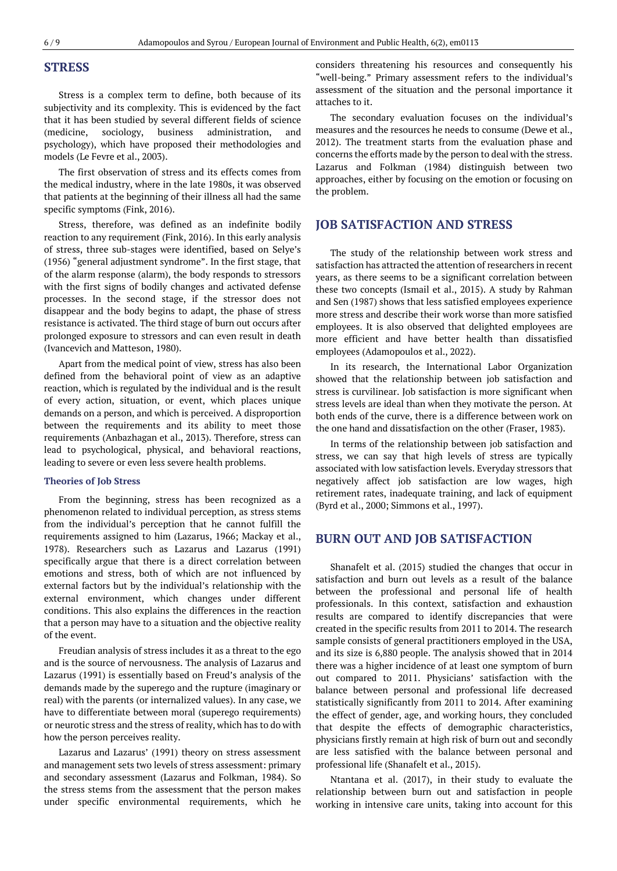### **STRESS**

Stress is a complex term to define, both because of its subjectivity and its complexity. This is evidenced by the fact that it has been studied by several different fields of science (medicine, sociology, business administration, and psychology), which have proposed their methodologies and models (Le Fevre et al., 2003).

The first observation of stress and its effects comes from the medical industry, where in the late 1980s, it was observed that patients at the beginning of their illness all had the same specific symptoms (Fink, 2016).

Stress, therefore, was defined as an indefinite bodily reaction to any requirement (Fink, 2016). In this early analysis of stress, three sub-stages were identified, based on Selye's (1956) "general adjustment syndrome". In the first stage, that of the alarm response (alarm), the body responds to stressors with the first signs of bodily changes and activated defense processes. In the second stage, if the stressor does not disappear and the body begins to adapt, the phase of stress resistance is activated. The third stage of burn out occurs after prolonged exposure to stressors and can even result in death (Ivancevich and Matteson, 1980).

Apart from the medical point of view, stress has also been defined from the behavioral point of view as an adaptive reaction, which is regulated by the individual and is the result of every action, situation, or event, which places unique demands on a person, and which is perceived. A disproportion between the requirements and its ability to meet those requirements (Anbazhagan et al., 2013). Therefore, stress can lead to psychological, physical, and behavioral reactions, leading to severe or even less severe health problems.

#### **Theories of Job Stress**

From the beginning, stress has been recognized as a phenomenon related to individual perception, as stress stems from the individual's perception that he cannot fulfill the requirements assigned to him (Lazarus, 1966; Mackay et al., 1978). Researchers such as Lazarus and Lazarus (1991) specifically argue that there is a direct correlation between emotions and stress, both of which are not influenced by external factors but by the individual's relationship with the external environment, which changes under different conditions. This also explains the differences in the reaction that a person may have to a situation and the objective reality of the event.

Freudian analysis of stress includes it as a threat to the ego and is the source of nervousness. The analysis of Lazarus and Lazarus (1991) is essentially based on Freud's analysis of the demands made by the superego and the rupture (imaginary or real) with the parents (or internalized values). In any case, we have to differentiate between moral (superego requirements) or neurotic stress and the stress of reality, which has to do with how the person perceives reality.

Lazarus and Lazarus' (1991) theory on stress assessment and management sets two levels of stress assessment: primary and secondary assessment (Lazarus and Folkman, 1984). So the stress stems from the assessment that the person makes under specific environmental requirements, which he considers threatening his resources and consequently his "well-being." Primary assessment refers to the individual's assessment of the situation and the personal importance it attaches to it.

The secondary evaluation focuses on the individual's measures and the resources he needs to consume (Dewe et al., 2012). The treatment starts from the evaluation phase and concerns the efforts made by the person to deal with the stress. Lazarus and Folkman (1984) distinguish between two approaches, either by focusing on the emotion or focusing on the problem.

## **JOB SATISFACTION AND STRESS**

The study of the relationship between work stress and satisfaction has attracted the attention of researchers in recent years, as there seems to be a significant correlation between these two concepts (Ismail et al., 2015). A study by Rahman and Sen (1987) shows that less satisfied employees experience more stress and describe their work worse than more satisfied employees. It is also observed that delighted employees are more efficient and have better health than dissatisfied employees (Adamopoulos et al., 2022).

In its research, the International Labor Organization showed that the relationship between job satisfaction and stress is curvilinear. Job satisfaction is more significant when stress levels are ideal than when they motivate the person. At both ends of the curve, there is a difference between work on the one hand and dissatisfaction on the other (Fraser, 1983).

In terms of the relationship between job satisfaction and stress, we can say that high levels of stress are typically associated with low satisfaction levels. Everyday stressors that negatively affect job satisfaction are low wages, high retirement rates, inadequate training, and lack of equipment (Byrd et al., 2000; Simmons et al., 1997).

## **BURN OUT AND JOB SATISFACTION**

Shanafelt et al. (2015) studied the changes that occur in satisfaction and burn out levels as a result of the balance between the professional and personal life of health professionals. In this context, satisfaction and exhaustion results are compared to identify discrepancies that were created in the specific results from 2011 to 2014. The research sample consists of general practitioners employed in the USA, and its size is 6,880 people. The analysis showed that in 2014 there was a higher incidence of at least one symptom of burn out compared to 2011. Physicians' satisfaction with the balance between personal and professional life decreased statistically significantly from 2011 to 2014. After examining the effect of gender, age, and working hours, they concluded that despite the effects of demographic characteristics, physicians firstly remain at high risk of burn out and secondly are less satisfied with the balance between personal and professional life (Shanafelt et al., 2015).

Ntantana et al. (2017), in their study to evaluate the relationship between burn out and satisfaction in people working in intensive care units, taking into account for this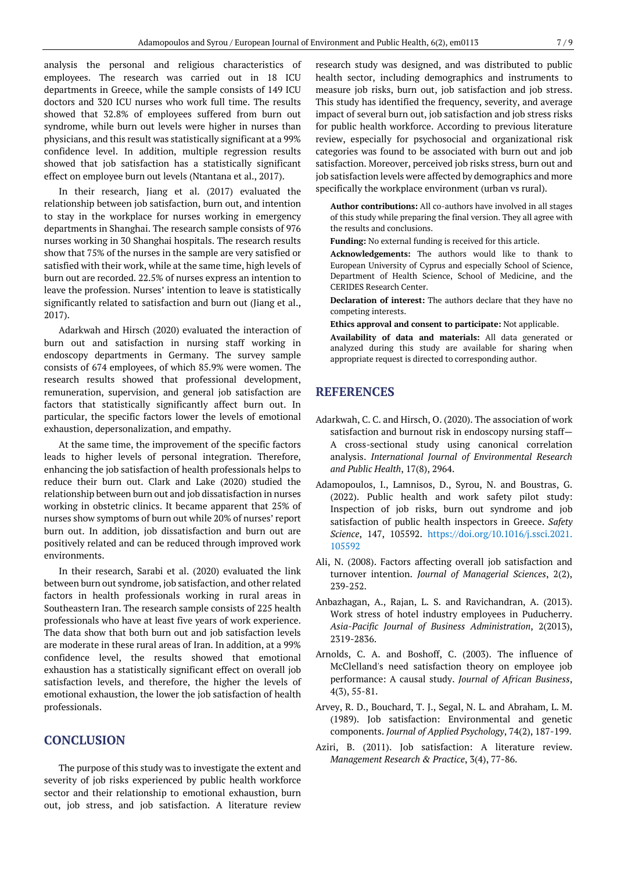analysis the personal and religious characteristics of employees. The research was carried out in 18 ICU departments in Greece, while the sample consists of 149 ICU doctors and 320 ICU nurses who work full time. The results showed that 32.8% of employees suffered from burn out syndrome, while burn out levels were higher in nurses than physicians, and this result was statistically significant at a 99% confidence level. In addition, multiple regression results showed that job satisfaction has a statistically significant effect on employee burn out levels (Ntantana et al., 2017).

In their research, Jiang et al. (2017) evaluated the relationship between job satisfaction, burn out, and intention to stay in the workplace for nurses working in emergency departments in Shanghai. The research sample consists of 976 nurses working in 30 Shanghai hospitals. The research results show that 75% of the nurses in the sample are very satisfied or satisfied with their work, while at the same time, high levels of burn out are recorded. 22.5% of nurses express an intention to leave the profession. Nurses' intention to leave is statistically significantly related to satisfaction and burn out (Jiang et al., 2017).

Adarkwah and Hirsch (2020) evaluated the interaction of burn out and satisfaction in nursing staff working in endoscopy departments in Germany. The survey sample consists of 674 employees, of which 85.9% were women. The research results showed that professional development, remuneration, supervision, and general job satisfaction are factors that statistically significantly affect burn out. In particular, the specific factors lower the levels of emotional exhaustion, depersonalization, and empathy.

At the same time, the improvement of the specific factors leads to higher levels of personal integration. Therefore, enhancing the job satisfaction of health professionals helps to reduce their burn out. Clark and Lake (2020) studied the relationship between burn out and job dissatisfaction in nurses working in obstetric clinics. It became apparent that 25% of nurses show symptoms of burn out while 20% of nurses' report burn out. In addition, job dissatisfaction and burn out are positively related and can be reduced through improved work environments.

In their research, Sarabi et al. (2020) evaluated the link between burn out syndrome, job satisfaction, and other related factors in health professionals working in rural areas in Southeastern Iran. The research sample consists of 225 health professionals who have at least five years of work experience. The data show that both burn out and job satisfaction levels are moderate in these rural areas of Iran. In addition, at a 99% confidence level, the results showed that emotional exhaustion has a statistically significant effect on overall job satisfaction levels, and therefore, the higher the levels of emotional exhaustion, the lower the job satisfaction of health professionals.

## **CONCLUSION**

The purpose of this study was to investigate the extent and severity of job risks experienced by public health workforce sector and their relationship to emotional exhaustion, burn out, job stress, and job satisfaction. A literature review

research study was designed, and was distributed to public health sector, including demographics and instruments to measure job risks, burn out, job satisfaction and job stress. This study has identified the frequency, severity, and average impact of several burn out, job satisfaction and job stress risks for public health workforce. According to previous literature review, especially for psychosocial and organizational risk categories was found to be associated with burn out and job satisfaction. Moreover, perceived job risks stress, burn out and job satisfaction levels were affected by demographics and more specifically the workplace environment (urban vs rural).

**Author contributions:** All co-authors have involved in all stages of this study while preparing the final version. They all agree with the results and conclusions.

**Funding:** No external funding is received for this article.

**Acknowledgements:** The authors would like to thank to European University of Cyprus and especially School of Science, Department of Health Science, School of Medicine, and the CERIDES Research Center.

**Declaration of interest:** The authors declare that they have no competing interests.

**Ethics approval and consent to participate:** Not applicable.

**Availability of data and materials:** All data generated or analyzed during this study are available for sharing when appropriate request is directed to corresponding author.

## **REFERENCES**

- Adarkwah, C. C. and Hirsch, O. (2020). The association of work satisfaction and burnout risk in endoscopy nursing staff— A cross-sectional study using canonical correlation analysis. *International Journal of Environmental Research and Public Health*, 17(8), 2964.
- Adamopoulos, I., Lamnisos, D., Syrou, N. and Boustras, G. (2022). Public health and work safety pilot study: Inspection of job risks, burn out syndrome and job satisfaction of public health inspectors in Greece. *Safety Science*, 147, 105592. [https://doi.org/10.1016/j.ssci.2021.](https://doi.org/10.1016/j.ssci.2021.105592) [105592](https://doi.org/10.1016/j.ssci.2021.105592)
- Ali, N. (2008). Factors affecting overall job satisfaction and turnover intention. *Journal of Managerial Sciences*, 2(2), 239-252.
- Anbazhagan, A., Rajan, L. S. and Ravichandran, A. (2013). Work stress of hotel industry employees in Puducherry. *Asia-Pacific Journal of Business Administration*, 2(2013), 2319-2836.
- Arnolds, C. A. and Boshoff, C. (2003). The influence of McClelland's need satisfaction theory on employee job performance: A causal study. *Journal of African Business*, 4(3), 55-81.
- Arvey, R. D., Bouchard, T. J., Segal, N. L. and Abraham, L. M. (1989). Job satisfaction: Environmental and genetic components. *Journal of Applied Psychology*, 74(2), 187-199.
- Aziri, B. (2011). Job satisfaction: A literature review. *Management Research & Practice*, 3(4), 77-86.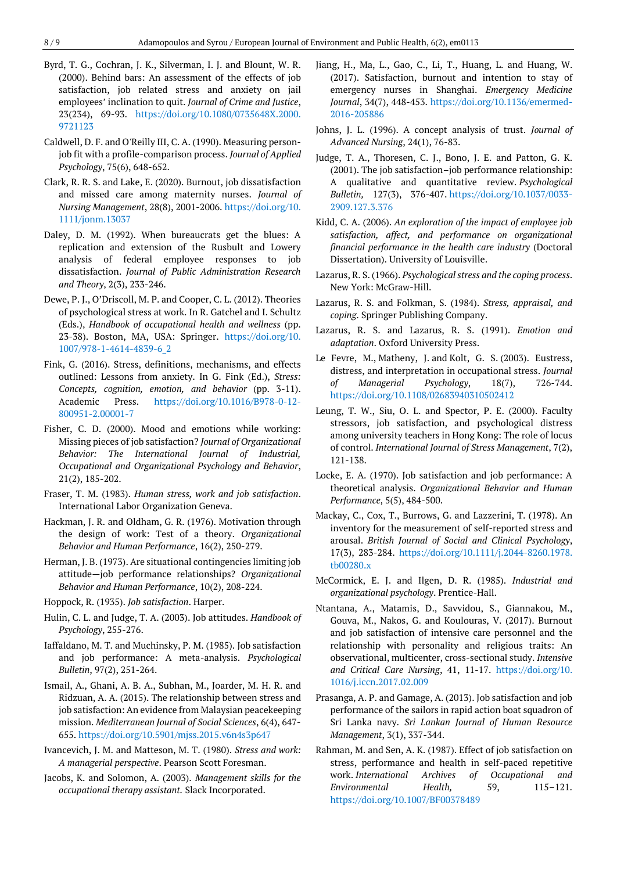- Byrd, T. G., Cochran, J. K., Silverman, I. J. and Blount, W. R. (2000). Behind bars: An assessment of the effects of job satisfaction, job related stress and anxiety on jail employees' inclination to quit. *Journal of Crime and Justice*, 23(234), 69-93. [https://doi.org/10.1080/0735648X.2000.](https://doi.org/10.1080/0735648X.2000.9721123) [9721123](https://doi.org/10.1080/0735648X.2000.9721123)
- Caldwell, D. F. and O'Reilly III, C. A. (1990). Measuring personjob fit with a profile-comparison process. *Journal of Applied Psychology*, 75(6), 648-652.
- Clark, R. R. S. and Lake, E. (2020). Burnout, job dissatisfaction and missed care among maternity nurses. *Journal of Nursing Management*, 28(8), 2001-2006. [https://doi.org/10.](https://doi.org/10.1111/jonm.13037) [1111/jonm.13037](https://doi.org/10.1111/jonm.13037)
- Daley, D. M. (1992). When bureaucrats get the blues: A replication and extension of the Rusbult and Lowery analysis of federal employee responses to job dissatisfaction. *Journal of Public Administration Research and Theory*, 2(3), 233-246.
- Dewe, P. J., O'Driscoll, M. P. and Cooper, C. L. (2012). Theories of psychological stress at work. In R. Gatchel and I. Schultz (Eds.), *Handbook of occupational health and wellness* (pp. 23-38). Boston, MA, USA: Springer. [https://doi.org/10.](https://doi.org/10.1007/978-1-4614-4839-6_2) [1007/978-1-4614-4839-6\\_2](https://doi.org/10.1007/978-1-4614-4839-6_2)
- Fink, G. (2016). Stress, definitions, mechanisms, and effects outlined: Lessons from anxiety. In G. Fink (Ed.), *Stress: Concepts, cognition, emotion, and behavior* (pp. 3-11). Academic Press. [https://doi.org/10.1016/B978-0-12-](https://doi.org/10.1016/B978-0-12-800951-2.00001-7) [800951-2.00001-7](https://doi.org/10.1016/B978-0-12-800951-2.00001-7)
- Fisher, C. D. (2000). Mood and emotions while working: Missing pieces of job satisfaction? *Journal of Organizational Behavior: The International Journal of Industrial, Occupational and Organizational Psychology and Behavior*, 21(2), 185-202.
- Fraser, T. M. (1983). *Human stress, work and job satisfaction*. International Labor Organization Geneva.
- Hackman, J. R. and Oldham, G. R. (1976). Motivation through the design of work: Test of a theory. *Organizational Behavior and Human Performance*, 16(2), 250-279.
- Herman, J. B. (1973). Are situational contingencies limiting job attitude—job performance relationships? *Organizational Behavior and Human Performance*, 10(2), 208-224.
- Hoppock, R. (1935). *Job satisfaction*. Harper.
- Hulin, C. L. and Judge, T. A. (2003). Job attitudes. *Handbook of Psychology*, 255-276.
- Iaffaldano, M. T. and Muchinsky, P. M. (1985). Job satisfaction and job performance: A meta-analysis. *Psychological Bulletin*, 97(2), 251-264.
- Ismail, A., Ghani, A. B. A., Subhan, M., Joarder, M. H. R. and Ridzuan, A. A. (2015). The relationship between stress and job satisfaction: An evidence from Malaysian peacekeeping mission. *Mediterranean Journal of Social Sciences*, 6(4), 647- 655. <https://doi.org/10.5901/mjss.2015.v6n4s3p647>
- Ivancevich, J. M. and Matteson, M. T. (1980). *Stress and work: A managerial perspective*. Pearson Scott Foresman.
- Jacobs, K. and Solomon, A. (2003). *Management skills for the occupational therapy assistant.* Slack Incorporated.
- Jiang, H., Ma, L., Gao, C., Li, T., Huang, L. and Huang, W. (2017). Satisfaction, burnout and intention to stay of emergency nurses in Shanghai. *Emergency Medicine Journal*, 34(7), 448-453. [https://doi.org/10.1136/emermed-](https://doi.org/10.1136/emermed-2016-205886)[2016-205886](https://doi.org/10.1136/emermed-2016-205886)
- Johns, J. L. (1996). A concept analysis of trust. *Journal of Advanced Nursing*, 24(1), 76-83.
- Judge, T. A., Thoresen, C. J., Bono, J. E. and Patton, G. K. (2001). The job satisfaction–job performance relationship: A qualitative and quantitative review. *Psychological Bulletin,* 127(3), 376-407. [https://doi.org/10.1037/0033-](https://doi.org/10.1037/0033-2909.127.3.376) [2909.127.3.376](https://doi.org/10.1037/0033-2909.127.3.376)
- Kidd, C. A. (2006). *An exploration of the impact of employee job satisfaction, affect, and performance on organizational financial performance in the health care industry* (Doctoral Dissertation). University of Louisville.
- Lazarus, R. S. (1966). *Psychological stress and the coping process*. New York: McGraw-Hill.
- Lazarus, R. S. and Folkman, S. (1984). *Stress, appraisal, and coping*. Springer Publishing Company.
- Lazarus, R. S. and Lazarus, R. S. (1991). *Emotion and adaptation*. Oxford University Press.
- Le Fevre, M., Matheny, J. and Kolt, G. S. (2003). Eustress, distress, and interpretation in occupational stress. *Journal of Managerial Psychology*, 18(7), 726-744. <https://doi.org/10.1108/02683940310502412>
- Leung, T. W., Siu, O. L. and Spector, P. E. (2000). Faculty stressors, job satisfaction, and psychological distress among university teachers in Hong Kong: The role of locus of control. *International Journal of Stress Management*, 7(2), 121-138.
- Locke, E. A. (1970). Job satisfaction and job performance: A theoretical analysis. *Organizational Behavior and Human Performance*, 5(5), 484-500.
- Mackay, C., Cox, T., Burrows, G. and Lazzerini, T. (1978). An inventory for the measurement of self-reported stress and arousal. *British Journal of Social and Clinical Psychology*, 17(3), 283-284. [https://doi.org/10.1111/j.2044-8260.1978.](https://doi.org/10.1111/j.2044-8260.1978.tb00280.x) [tb00280.x](https://doi.org/10.1111/j.2044-8260.1978.tb00280.x)
- McCormick, E. J. and Ilgen, D. R. (1985). *Industrial and organizational psychology*. Prentice-Hall.
- Ntantana, A., Matamis, D., Savvidou, S., Giannakou, M., Gouva, M., Nakos, G. and Koulouras, V. (2017). Burnout and job satisfaction of intensive care personnel and the relationship with personality and religious traits: An observational, multicenter, cross-sectional study. *Intensive and Critical Care Nursing*, 41, 11-17. [https://doi.org/10.](https://doi.org/10.1016/j.iccn.2017.02.009) [1016/j.iccn.2017.02.009](https://doi.org/10.1016/j.iccn.2017.02.009)
- Prasanga, A. P. and Gamage, A. (2013). Job satisfaction and job performance of the sailors in rapid action boat squadron of Sri Lanka navy. *Sri Lankan Journal of Human Resource Management*, 3(1), 337-344.
- Rahman, M. and Sen, A. K. (1987). Effect of job satisfaction on stress, performance and health in self-paced repetitive work. *International Archives of Occupational and Environmental Health,* 59, 115–121. <https://doi.org/10.1007/BF00378489>